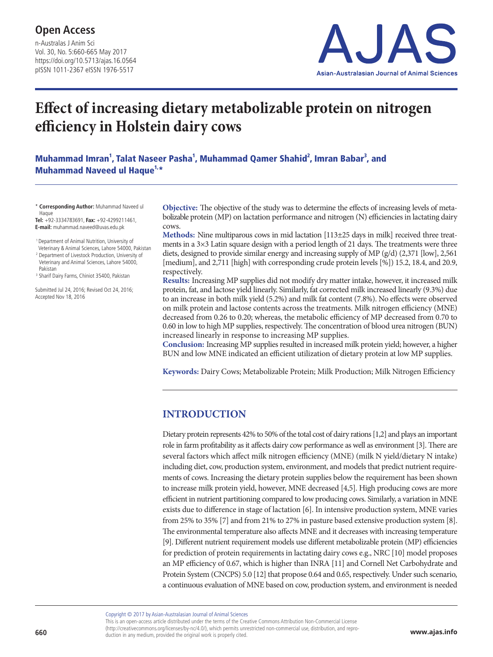n-Australas J Anim Sci Vol. 30, No. 5:660-665 May 2017 https://doi.org/10.5713/ajas.16.0564 pISSN 1011-2367 eISSN 1976-5517



# **Effect of increasing dietary metabolizable protein on nitrogen efficiency in Holstein dairy cows**

Muhammad Imran<sup>1</sup>, Talat Naseer Pasha<sup>1</sup>, Muhammad Qamer Shahid<sup>2</sup>, Imran Babar<sup>3</sup>, and Muhammad Naveed ul Haque<sup>1,\*</sup>

\* **Corresponding Author:** Muhammad Naveed ul Haque

**Tel:** +92-3334783691, **Fax:** +92-4299211461, **E-mail:** muhammad.naveed@uvas.edu.pk

 1 Department of Animal Nutrition, University of Veterinary & Animal Sciences, Lahore 54000, Pakistan

<sup>2</sup> Department of Livestock Production, University of Veterinary and Animal Sciences, Lahore 54000, Pakistan

<sup>3</sup> Sharif Dairy Farms, Chiniot 35400, Pakistan

Submitted Jul 24, 2016; Revised Oct 24, 2016; Accepted Nov 18, 2016

**Objective:** The objective of the study was to determine the effects of increasing levels of metabolizable protein (MP) on lactation performance and nitrogen (N) efficiencies in lactating dairy cows.

**Methods:** Nine multiparous cows in mid lactation [113±25 days in milk] received three treatments in a  $3\times3$  Latin square design with a period length of 21 days. The treatments were three diets, designed to provide similar energy and increasing supply of MP (g/d) (2,371 [low], 2,561 [medium], and 2,711 [high] with corresponding crude protein levels [%]) 15.2, 18.4, and 20.9, respectively.

**Results:** Increasing MP supplies did not modify dry matter intake, however, it increased milk protein, fat, and lactose yield linearly. Similarly, fat corrected milk increased linearly (9.3%) due to an increase in both milk yield (5.2%) and milk fat content (7.8%). No effects were observed on milk protein and lactose contents across the treatments. Milk nitrogen efficiency (MNE) decreased from 0.26 to 0.20; whereas, the metabolic efficiency of MP decreased from 0.70 to 0.60 in low to high MP supplies, respectively. The concentration of blood urea nitrogen (BUN) increased linearly in response to increasing MP supplies.

**Conclusion:** Increasing MP supplies resulted in increased milk protein yield; however, a higher BUN and low MNE indicated an efficient utilization of dietary protein at low MP supplies.

**Keywords:** Dairy Cows; Metabolizable Protein; Milk Production; Milk Nitrogen Efficiency

### **INTRODUCTION**

Dietary protein represents 42% to 50% of the total cost of dairy rations [1,2] and plays an important role in farm profitability as it affects dairy cow performance as well as environment [3]. There are several factors which affect milk nitrogen efficiency (MNE) (milk N yield/dietary N intake) including diet, cow, production system, environment, and models that predict nutrient requirements of cows. Increasing the dietary protein supplies below the requirement has been shown to increase milk protein yield, however, MNE decreased [4,5]. High producing cows are more efficient in nutrient partitioning compared to low producing cows. Similarly, a variation in MNE exists due to difference in stage of lactation [6]. In intensive production system, MNE varies from 25% to 35% [7] and from 21% to 27% in pasture based extensive production system [8]. The environmental temperature also affects MNE and it decreases with increasing temperature [9]. Different nutrient requirement models use different metabolizable protein (MP) efficiencies for prediction of protein requirements in lactating dairy cows e.g., NRC [10] model proposes an MP efficiency of 0.67, which is higher than INRA [11] and Cornell Net Carbohydrate and Protein System (CNCPS) 5.0 [12] that propose 0.64 and 0.65, respectively. Under such scenario, a continuous evaluation of MNE based on cow, production system, and environment is needed

Copyright © 2017 by Asian-Australasian Journal of Animal Sciences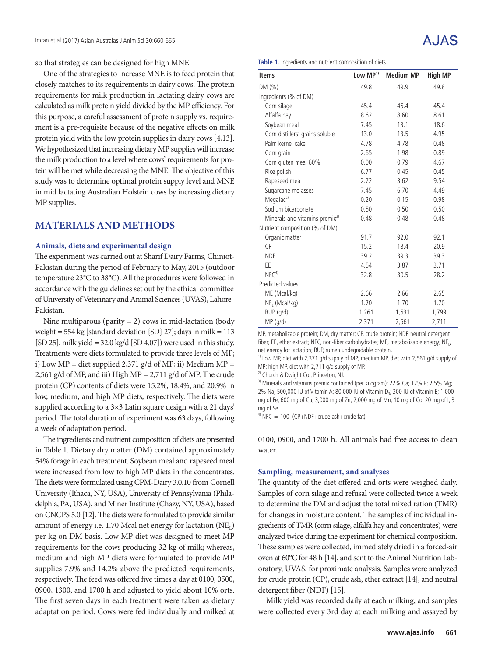so that strategies can be designed for high MNE.

One of the strategies to increase MNE is to feed protein that closely matches to its requirements in dairy cows. The protein requirements for milk production in lactating dairy cows are calculated as milk protein yield divided by the MP efficiency. For this purpose, a careful assessment of protein supply vs. requirement is a pre-requisite because of the negative effects on milk protein yield with the low protein supplies in dairy cows [4,13]. We hypothesized that increasing dietary MP supplies will increase the milk production to a level where cows' requirements for protein will be met while decreasing the MNE. The objective of this study was to determine optimal protein supply level and MNE in mid lactating Australian Holstein cows by increasing dietary MP supplies.

### **MATERIALS AND METHODS**

#### **Animals, diets and experimental design**

The experiment was carried out at Sharif Dairy Farms, Chiniot-Pakistan during the period of February to May, 2015 (outdoor temperature 23°C to 38°C). All the procedures were followed in accordance with the guidelines set out by the ethical committee of University of Veterinary and Animal Sciences (UVAS), Lahore-Pakistan.

Nine multiparous (parity  $= 2$ ) cows in mid-lactation (body weight =  $554 \text{ kg}$  [standard deviation  $\{\text{SD}\}\$  27]; days in milk = 113 [SD 25], milk yield =  $32.0 \text{ kg/d}$  [SD 4.07]) were used in this study. Treatments were diets formulated to provide three levels of MP; i) Low MP = diet supplied 2,371 g/d of MP; ii) Medium MP = 2,561 g/d of MP, and iii) High MP = 2,711 g/d of MP. The crude protein (CP) contents of diets were 15.2%, 18.4%, and 20.9% in low, medium, and high MP diets, respectively. The diets were supplied according to a 3×3 Latin square design with a 21 days' period. The total duration of experiment was 63 days, following a week of adaptation period.

The ingredients and nutrient composition of diets are presented in Table 1. Dietary dry matter (DM) contained approximately 54% forage in each treatment. Soybean meal and rapeseed meal were increased from low to high MP diets in the concentrates. The diets were formulated using CPM-Dairy 3.0.10 from Cornell University (Ithaca, NY, USA), University of Pennsylvania (Philadelphia, PA, USA), and Miner Institute (Chazy, NY, USA), based on CNCPS 5.0 [12]. The diets were formulated to provide similar amount of energy i.e. 1.70 Mcal net energy for lactation (NE<sub>L</sub>) per kg on DM basis. Low MP diet was designed to meet MP requirements for the cows producing 32 kg of milk; whereas, medium and high MP diets were formulated to provide MP supplies 7.9% and 14.2% above the predicted requirements, respectively. The feed was offered five times a day at 0100, 0500, 0900, 1300, and 1700 h and adjusted to yield about 10% orts. The first seven days in each treatment were taken as dietary adaptation period. Cows were fed individually and milked at

# A.IAS

**Table 1.** Ingredients and nutrient composition of diets

| <b>Items</b>                               | Low MP <sup>1)</sup> | <b>Medium MP</b> | <b>High MP</b> |
|--------------------------------------------|----------------------|------------------|----------------|
| DM(%)                                      | 49.8                 | 49.9             | 49.8           |
| Ingredients (% of DM)                      |                      |                  |                |
| Corn silage                                | 45.4                 | 45.4             | 45.4           |
| Alfalfa hay                                | 8.62                 | 8.60             | 8.61           |
| Soybean meal                               | 7.45                 | 13.1             | 18.6           |
| Corn distillers' grains soluble            | 13.0                 | 13.5             | 4.95           |
| Palm kernel cake                           | 4.78                 | 4.78             | 0.48           |
| Corn grain                                 | 2.65                 | 1.98             | 0.89           |
| Corn gluten meal 60%                       | 0.00                 | 0.79             | 4.67           |
| Rice polish                                | 6.77                 | 0.45             | 0.45           |
| Rapeseed meal                              | 2.72                 | 3.62             | 9.54           |
| Sugarcane molasses                         | 7.45                 | 6.70             | 4.49           |
| Megalac <sup>2)</sup>                      | 0.20                 | 0.15             | 0.98           |
| Sodium bicarbonate                         | 0.50                 | 0.50             | 0.50           |
| Minerals and vitamins premix <sup>3)</sup> | 0.48                 | 0.48             | 0.48           |
| Nutrient composition (% of DM)             |                      |                  |                |
| Organic matter                             | 91.7                 | 92.0             | 92.1           |
| <b>CP</b>                                  | 15.2                 | 18.4             | 20.9           |
| <b>NDF</b>                                 | 39.2                 | 39.3             | 39.3           |
| ЕE                                         | 4.54                 | 3.87             | 3.71           |
| NFC <sup>4</sup>                           | 32.8                 | 30.5             | 28.2           |
| Predicted values                           |                      |                  |                |
| ME (Mcal/kg)                               | 2.66                 | 2.66             | 2.65           |
| NE <sub>1</sub> (Mcal/kg)                  | 1.70                 | 1.70             | 1.70           |
| $RUP$ (g/d)                                | 1,261                | 1,531            | 1,799          |
| MP(q/d)                                    | 2,371                | 2,561            | 2,711          |

MP, metabolizable protein; DM, dry matter; CP, crude protein; NDF, neutral detergent fiber; EE, ether extract; NFC, non-fiber carbohydrates; ME, metabolizable energy; NE, net energy for lactation; RUP, rumen undegradable protein.

<sup>1)</sup> Low MP, diet with 2,371 g/d supply of MP; medium MP, diet with 2,561 g/d supply of MP; high MP, diet with 2,711 g/d supply of MP.

<sup>2)</sup> Church & Dwight Co., Princeton, NJ.

<sup>3)</sup> Minerals and vitamins premix contained (per kilogram): 22% Ca; 12% P; 2.5% Mg; 2% Na; 500,000 IU of Vitamin A; 80,000 IU of Vitamin D<sub>3</sub>; 300 IU of Vitamin E; 1,000 mg of Fe; 600 mg of Cu; 3,000 mg of Zn; 2,000 mg of Mn; 10 mg of Co; 20 mg of I; 3 mg of Se.

 $4)$  NFC = 100–(CP+NDF+crude ash+crude fat).

0100, 0900, and 1700 h. All animals had free access to clean water.

#### **Sampling, measurement, and analyses**

The quantity of the diet offered and orts were weighed daily. Samples of corn silage and refusal were collected twice a week to determine the DM and adjust the total mixed ration (TMR) for changes in moisture content. The samples of individual ingredients of TMR (corn silage, alfalfa hay and concentrates) were analyzed twice during the experiment for chemical composition. These samples were collected, immediately dried in a forced-air oven at 60°C for 48 h [14], and sent to the Animal Nutrition Laboratory, UVAS, for proximate analysis. Samples were analyzed for crude protein (CP), crude ash, ether extract [14], and neutral detergent fiber (NDF) [15].

Milk yield was recorded daily at each milking, and samples were collected every 3rd day at each milking and assayed by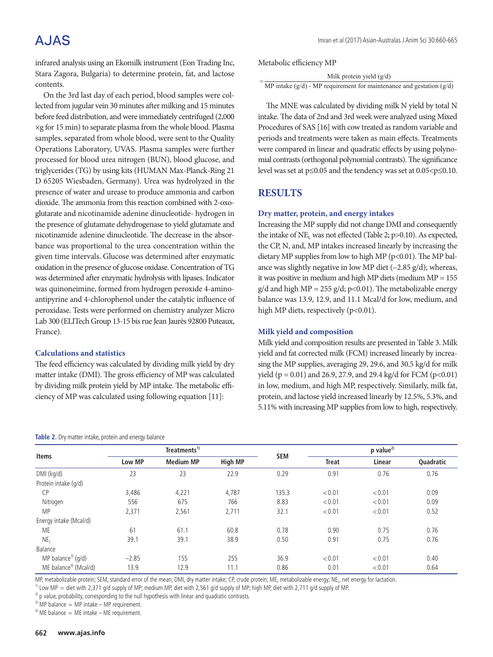# **AJAS**

infrared analysis using an Ekomilk instrument (Eon Trading Inc, Stara Zagora, Bulgaria) to determine protein, fat, and lactose contents.

On the 3rd last day of each period, blood samples were collected from jugular vein 30 minutes after milking and 15 minutes before feed distribution, and were immediately centrifuged (2,000 ×g for 15 min) to separate plasma from the whole blood. Plasma samples, separated from whole blood, were sent to the Quality Operations Laboratory, UVAS. Plasma samples were further processed for blood urea nitrogen (BUN), blood glucose, and triglycerides (TG) by using kits (HUMAN Max-Planck-Ring 21 D 65205 Wiesbaden, Germany). Urea was hydrolyzed in the presence of water and urease to produce ammonia and carbon dioxide. The ammonia from this reaction combined with 2-oxoglutarate and nicotinamide adenine dinucleotide- hydrogen in the presence of glutamate dehydrogenase to yield glutamate and nicotinamide adenine dinucleotide. The decrease in the absorbance was proportional to the urea concentration within the given time intervals. Glucose was determined after enzymatic oxidation in the presence of glucose oxidase. Concentration of TG was determined after enzymatic hydrolysis with lipases. Indicator was quinoneimine, formed from hydrogen peroxide 4-aminoantipyrine and 4-chlorophenol under the catalytic influence of peroxidase. Tests were performed on chemistry analyzer Micro Lab 300 (ELITech Group 13-15 bis rue Jean Jaurès 92800 Puteaux, France).

#### **Calculations and statistics**

The feed efficiency was calculated by dividing milk yield by dry matter intake (DMI). The gross efficiency of MP was calculated by dividing milk protein yield by MP intake. The metabolic efficiency of MP was calculated using following equation [11]:

#### **Table 2.** Dry matter intake, protein and energy balance

| Metabolic efficiency MP |
|-------------------------|
|-------------------------|

| Milk protein yield $(g/d)$                                               |
|--------------------------------------------------------------------------|
| MP intake $(g/d)$ - MP requirement for maintenance and gestation $(g/d)$ |

Procedures of SAS [16] with cow treated as random variable and periods and dealineins were diken as main cheeds. Treatments were compared in linear and quadratic effects by using polynomial contrasts (orthogonal polynomial contrasts). The significance level was set at p≤0.05 and the tendency was set at 0.05<p≤0.10. The MNE was calculated by dividing milk N yield by total N intake. The data of 2nd and 3rd week were analyzed using Mixed periods and treatments were taken as main effects. Treatments

# **RESULTS**

#### **Dry matter, protein, and energy intakes**

Increasing the MP supply did not change DMI and consequently the intake of  $NE<sub>L</sub>$  was not effected (Table 2; p>0.10). As expected, the CP, N, and, MP intakes increased linearly by increasing the dietary MP supplies from low to high MP (p<0.01). The MP balance was slightly negative in low MP diet  $(-2.85 \text{ g/d})$ ; whereas, it was positive in medium and high MP diets (medium MP = 155  $g/d$  and high MP = 255 g/d; p<0.01). The metabolizable energy balance was 13.9, 12.9, and 11.1 Mcal/d for low, medium, and high MP diets, respectively (p<0.01).

#### **Milk yield and composition**

Milk yield and composition results are presented in Table 3. Milk yield and fat corrected milk (FCM) increased linearly by increasing the MP supplies, averaging 29, 29.6, and 30.5 kg/d for milk yield ( $p = 0.01$ ) and 26.9, 27.9, and 29.4 kg/d for FCM ( $p < 0.01$ ) in low, medium, and high MP, respectively. Similarly, milk fat, protein, and lactose yield increased linearly by 12.5%, 5.3%, and 5.11% with increasing MP supplies from low to high, respectively.

| <b>Items</b>                       | Treatments <sup>1)</sup> |                  |                |            | $p$ value <sup>2)</sup> |        |           |
|------------------------------------|--------------------------|------------------|----------------|------------|-------------------------|--------|-----------|
|                                    | <b>Low MP</b>            | <b>Medium MP</b> | <b>High MP</b> | <b>SEM</b> | <b>Treat</b>            | Linear | Quadratic |
| DMI (kg/d)                         | 23                       | 23               | 22.9           | 0.29       | 0.91                    | 0.76   | 0.76      |
| Protein intake (g/d)               |                          |                  |                |            |                         |        |           |
| <b>CP</b>                          | 3,486                    | 4,221            | 4,787          | 135.3      | < 0.01                  | < 0.01 | 0.09      |
| Nitrogen                           | 556                      | 675              | 766            | 8.83       | < 0.01                  | < 0.01 | 0.09      |
| <b>MP</b>                          | 2,371                    | 2,561            | 2,711          | 32.1       | < 0.01                  | < 0.01 | 0.52      |
| Energy intake (Mcal/d)             |                          |                  |                |            |                         |        |           |
| ME                                 | 61                       | 61.1             | 60.8           | 0.78       | 0.90                    | 0.75   | 0.76      |
| NE <sub>1</sub>                    | 39.1                     | 39.1             | 38.9           | 0.50       | 0.91                    | 0.75   | 0.76      |
| Balance                            |                          |                  |                |            |                         |        |           |
| MP balance <sup>3)</sup> ( $q/d$ ) | $-2.85$                  | 155              | 255            | 36.9       | < 0.01                  | < 0.01 | 0.40      |
| ME balance <sup>4)</sup> (Mcal/d)  | 13.9                     | 12.9             | 11.1           | 0.86       | 0.01                    | < 0.01 | 0.64      |

MP, metabolizable protein; SEM, standard error of the mean; DMI, dry matter intake; CP, crude protein; ME, metabolizable energy; NE<sub>I</sub>, net energy for lactation.<br><sup>1)</sup> Low MP = diet with 2,371 g/d supply of MP; medium MP,

<sup>2)</sup> p value, probability, corresponding to the null hypothesis with linear and quadratic contrasts.

 $3)$  MP balance = MP intake - MP requirement.

 $4)$  ME balance = ME intake – ME requirement.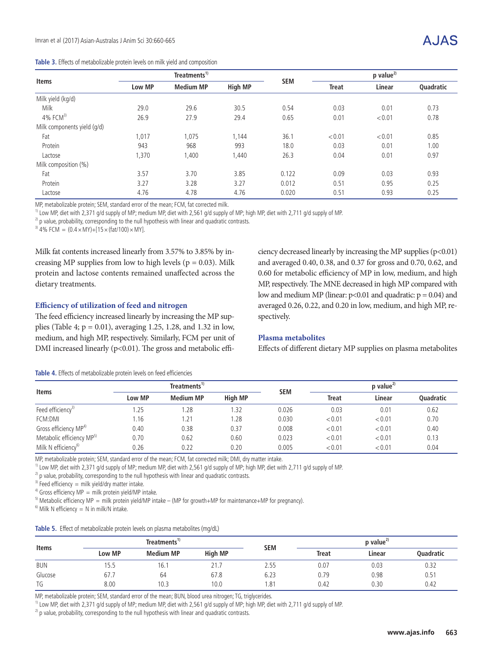| Table 3. Effects of metabolizable protein levels on milk yield and composition |  |  |
|--------------------------------------------------------------------------------|--|--|
|--------------------------------------------------------------------------------|--|--|

|                             | Treatments <sup>1)</sup> |                  |                |            | p value <sup>2)</sup>  |        |           |
|-----------------------------|--------------------------|------------------|----------------|------------|------------------------|--------|-----------|
| <b>Items</b>                | Low MP                   | <b>Medium MP</b> | <b>High MP</b> | <b>SEM</b> | Linear<br><b>Treat</b> |        | Quadratic |
| Milk yield (kg/d)           |                          |                  |                |            |                        |        |           |
| Milk                        | 29.0                     | 29.6             | 30.5           | 0.54       | 0.03                   | 0.01   | 0.73      |
| $4\%$ FCM <sup>3)</sup>     | 26.9                     | 27.9             | 29.4           | 0.65       | 0.01                   | < 0.01 | 0.78      |
| Milk components yield (g/d) |                          |                  |                |            |                        |        |           |
| Fat                         | 1,017                    | 1,075            | 1,144          | 36.1       | < 0.01                 | < 0.01 | 0.85      |
| Protein                     | 943                      | 968              | 993            | 18.0       | 0.03                   | 0.01   | 1.00      |
| Lactose                     | 1,370                    | 1,400            | 1,440          | 26.3       | 0.04                   | 0.01   | 0.97      |
| Milk composition (%)        |                          |                  |                |            |                        |        |           |
| Fat                         | 3.57                     | 3.70             | 3.85           | 0.122      | 0.09                   | 0.03   | 0.93      |
| Protein                     | 3.27                     | 3.28             | 3.27           | 0.012      | 0.51                   | 0.95   | 0.25      |
| Lactose                     | 4.76                     | 4.78             | 4.76           | 0.020      | 0.51                   | 0.93   | 0.25      |

MP, metabolizable protein; SEM, standard error of the mean; FCM, fat corrected milk.

<sup>1)</sup> Low MP, diet with 2,371 g/d supply of MP; medium MP, diet with 2,561 g/d supply of MP; high MP, diet with 2,711 g/d supply of MP.

<sup>2)</sup> p value, probability, corresponding to the null hypothesis with linear and quadratic contrasts.

<sup>3)</sup> 4% FCM =  $(0.4 \times MY) + [15 \times (fat/100) \times MY].$ 

Milk fat contents increased linearly from 3.57% to 3.85% by increasing MP supplies from low to high levels ( $p = 0.03$ ). Milk protein and lactose contents remained unaffected across the dietary treatments.

#### **Efficiency of utilization of feed and nitrogen**

The feed efficiency increased linearly by increasing the MP supplies (Table 4;  $p = 0.01$ ), averaging 1.25, 1.28, and 1.32 in low, medium, and high MP, respectively. Similarly, FCM per unit of DMI increased linearly (p<0.01). The gross and metabolic efficiency decreased linearly by increasing the MP supplies  $(p<0.01)$ and averaged 0.40, 0.38, and 0.37 for gross and 0.70, 0.62, and 0.60 for metabolic efficiency of MP in low, medium, and high MP, respectively. The MNE decreased in high MP compared with low and medium MP (linear:  $p < 0.01$  and quadratic:  $p = 0.04$ ) and averaged 0.26, 0.22, and 0.20 in low, medium, and high MP, respectively.

#### **Plasma metabolites**

Effects of different dietary MP supplies on plasma metabolites

| <b>Items</b>                          | Treatments <sup>17</sup> |                  |                | <b>SEM</b> | $p$ value <sup>2)</sup> |        |                  |
|---------------------------------------|--------------------------|------------------|----------------|------------|-------------------------|--------|------------------|
|                                       | Low MP                   | <b>Medium MP</b> | <b>High MP</b> |            | <b>Treat</b>            | Linear | <b>Ouadratic</b> |
| Feed efficiency <sup>3)</sup>         | .25                      | .28              | 1.32           | 0.026      | 0.03                    | 0.01   | 0.62             |
| FCM:DMI                               | 16،،                     | 1.21             | 1.28           | 0.030      | < 0.01                  | < 0.01 | 0.70             |
| Gross efficiency MP <sup>4)</sup>     | 0.40                     | 0.38             | 0.37           | 0.008      | < 0.01                  | < 0.01 | 0.40             |
| Metabolic efficiency MP <sup>5)</sup> | 0.70                     | 0.62             | 0.60           | 0.023      | < 0.01                  | < 0.01 | 0.13             |
| Milk N efficiency <sup>6)</sup>       | 0.26                     | 0.22             | 0.20           | 0.005      | < 0.01                  | < 0.01 | 0.04             |

#### **Table 4.** Effects of metabolizable protein levels on feed efficiencies

MP, metabolizable protein; SEM, standard error of the mean; FCM, fat corrected milk; DMI, dry matter intake.

<sup>1)</sup> Low MP, diet with 2,371 g/d supply of MP; medium MP, diet with 2,561 g/d supply of MP; high MP, diet with 2,711 g/d supply of MP.

<sup>2)</sup> p value, probability, corresponding to the null hypothesis with linear and quadratic contrasts.

 $3)$  Feed efficiency = milk yield/dry matter intake.

 $4)$  Gross efficiency MP = milk protein yield/MP intake.

<sup>5)</sup> Metabolic efficiency MP = milk protein yield/MP intake – (MP for growth+MP for maintenance+MP for pregnancy).

 $^{6}$ ) Milk N efficiency = N in milk/N intake.

| <b>Items</b> |               | Treatments <sup>1)</sup> |                |            | $p$ value <sup>2)</sup> |        |                  |
|--------------|---------------|--------------------------|----------------|------------|-------------------------|--------|------------------|
|              | <b>Low MP</b> | <b>Medium MP</b>         | <b>High MP</b> | <b>SEM</b> | <b>Treat</b>            | Linear | <b>Ouadratic</b> |
| BUN          | 15.5          | 16.                      | 21.7           | 2.55       | 0.07                    | 0.03   | 0.32             |
| Glucose      | 67.7          | 64                       | 67.8           | 6.23       | 0.79                    | 0.98   | 0.51             |
| TG           | 8.00          | 10.3                     | 10.0           | .81        | 0.42                    | 0.30   | 0.42             |

MP, metabolizable protein; SEM, standard error of the mean; BUN, blood urea nitrogen; TG, triglycerides.

<sup>1)</sup> Low MP, diet with 2,371 g/d supply of MP; medium MP, diet with 2,561 g/d supply of MP; high MP, diet with 2,711 g/d supply of MP.

 $2)$  p value, probability, corresponding to the null hypothesis with linear and quadratic contrasts.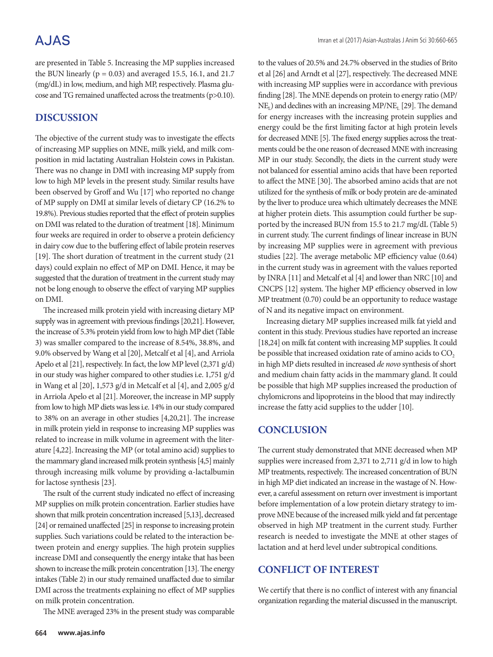# **AJAS**

are presented in Table 5. Increasing the MP supplies increased the BUN linearly ( $p = 0.03$ ) and averaged 15.5, 16.1, and 21.7 (mg/dL) in low, medium, and high MP, respectively. Plasma glucose and TG remained unaffected across the treatments (p>0.10).

# **DISCUSSION**

The objective of the current study was to investigate the effects of increasing MP supplies on MNE, milk yield, and milk composition in mid lactating Australian Holstein cows in Pakistan. There was no change in DMI with increasing MP supply from low to high MP levels in the present study. Similar results have been observed by Groff and Wu [17] who reported no change of MP supply on DMI at similar levels of dietary CP (16.2% to 19.8%). Previous studies reported that the effect of protein supplies on DMI was related to the duration of treatment [18]. Minimum four weeks are required in order to observe a protein deficiency in dairy cow due to the buffering effect of labile protein reserves [19]. The short duration of treatment in the current study (21 days) could explain no effect of MP on DMI. Hence, it may be suggested that the duration of treatment in the current study may not be long enough to observe the effect of varying MP supplies on DMI.

The increased milk protein yield with increasing dietary MP supply was in agreement with previous findings [20,21]. However, the increase of 5.3% protein yield from low to high MP diet (Table 3) was smaller compared to the increase of 8.54%, 38.8%, and 9.0% observed by Wang et al [20], Metcalf et al [4], and Arriola Apelo et al [21], respectively. In fact, the low MP level (2,371 g/d) in our study was higher compared to other studies i.e. 1,751 g/d in Wang et al [20], 1,573 g/d in Metcalf et al [4], and 2,005 g/d in Arriola Apelo et al [21]. Moreover, the increase in MP supply from low to high MP diets was less i.e. 14% in our study compared to 38% on an average in other studies [4,20,21]. The increase in milk protein yield in response to increasing MP supplies was related to increase in milk volume in agreement with the literature [4,22]. Increasing the MP (or total amino acid) supplies to the mammary gland increased milk protein synthesis [4,5] mainly through increasing milk volume by providing α-lactalbumin for lactose synthesis [23].

The rsult of the current study indicated no effect of increasing MP supplies on milk protein concentration. Earlier studies have shown that milk protein concentration increased [5,13], decreased [24] or remained unaffected [25] in response to increasing protein supplies. Such variations could be related to the interaction between protein and energy supplies. The high protein supplies increase DMI and consequently the energy intake that has been shown to increase the milk protein concentration [13]. The energy intakes (Table 2) in our study remained unaffacted due to similar DMI across the treatments explaining no effect of MP supplies on milk protein concentration.

The MNE averaged 23% in the present study was comparable

to the values of 20.5% and 24.7% observed in the studies of Brito et al [26] and Arndt et al [27], respectively. The decreased MNE with increasing MP supplies were in accordance with previous finding [28]. The MNE depends on protein to energy ratio (MP/  $NE<sub>L</sub>$ ) and declines with an increasing  $MP/NE<sub>L</sub>$  [29]. The demand for energy increases with the increasing protein supplies and energy could be the first limiting factor at high protein levels for decreased MNE [5]. The fixed energy supplies across the treatments could be the one reason of decreased MNE with increasing MP in our study. Secondly, the diets in the current study were not balanced for essential amino acids that have been reported to affect the MNE [30]. The absorbed amino acids that are not utilized for the synthesis of milk or body protein are de-aminated by the liver to produce urea which ultimately decreases the MNE at higher protein diets. This assumption could further be supported by the increased BUN from 15.5 to 21.7 mg/dL (Table 5) in current study. The current findings of linear increase in BUN by increasing MP supplies were in agreement with previous studies [22]. The average metabolic MP efficiency value (0.64) in the current study was in agreement with the values reported by INRA [11] and Metcalf et al [4] and lower than NRC [10] and CNCPS [12] system. The higher MP efficiency observed in low MP treatment (0.70) could be an opportunity to reduce wastage of N and its negative impact on environment.

Increasing dietary MP supplies increased milk fat yield and content in this study. Previous studies have reported an increase [18,24] on milk fat content with increasing MP supplies. It could be possible that increased oxidation rate of amino acids to  $CO<sub>2</sub>$ in high MP diets resulted in increased *de novo* synthesis of short and medium chain fatty acids in the mammary gland. It could be possible that high MP supplies increased the production of chylomicrons and lipoproteins in the blood that may indirectly increase the fatty acid supplies to the udder [10].

### **CONCLUSION**

The current study demonstrated that MNE decreased when MP supplies were increased from 2,371 to 2,711 g/d in low to high MP treatments, respectively. The increased concentration of BUN in high MP diet indicated an increase in the wastage of N. However, a careful assessment on return over investment is important before implementation of a low protein dietary strategy to improve MNE because of the increased milk yield and fat percentage observed in high MP treatment in the current study. Further research is needed to investigate the MNE at other stages of lactation and at herd level under subtropical conditions.

### **CONFLICT OF INTEREST**

We certify that there is no conflict of interest with any financial organization regarding the material discussed in the manuscript.